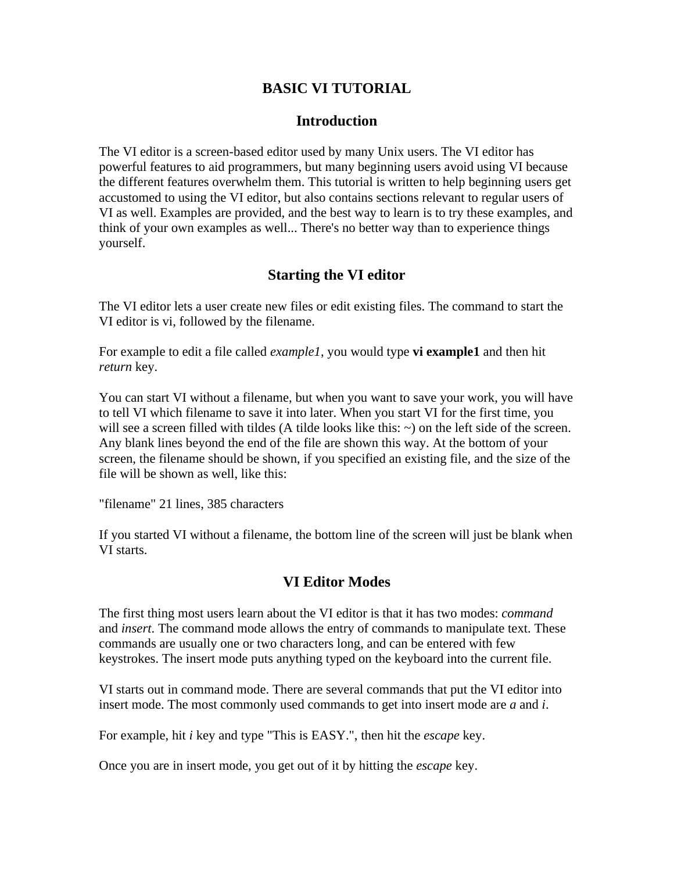### **BASIC VI TUTORIAL**

#### **Introduction**

The VI editor is a screen-based editor used by many Unix users. The VI editor has powerful features to aid programmers, but many beginning users avoid using VI because the different features overwhelm them. This tutorial is written to help beginning users get accustomed to using the VI editor, but also contains sections relevant to regular users of VI as well. Examples are provided, and the best way to learn is to try these examples, and think of your own examples as well... There's no better way than to experience things yourself.

### **Starting the VI editor**

The VI editor lets a user create new files or edit existing files. The command to start the VI editor is vi, followed by the filename.

For example to edit a file called *example1*, you would type **vi example1** and then hit *return* key.

You can start VI without a filename, but when you want to save your work, you will have to tell VI which filename to save it into later. When you start VI for the first time, you will see a screen filled with tildes (A tilde looks like this:  $\sim$ ) on the left side of the screen. Any blank lines beyond the end of the file are shown this way. At the bottom of your screen, the filename should be shown, if you specified an existing file, and the size of the file will be shown as well, like this:

"filename" 21 lines, 385 characters

If you started VI without a filename, the bottom line of the screen will just be blank when VI starts.

#### **VI Editor Modes**

The first thing most users learn about the VI editor is that it has two modes: *command* and *insert*. The command mode allows the entry of commands to manipulate text. These commands are usually one or two characters long, and can be entered with few keystrokes. The insert mode puts anything typed on the keyboard into the current file.

VI starts out in command mode. There are several commands that put the VI editor into insert mode. The most commonly used commands to get into insert mode are *a* and *i*.

For example, hit *i* key and type "This is EASY.", then hit the *escape* key.

Once you are in insert mode, you get out of it by hitting the *escape* key.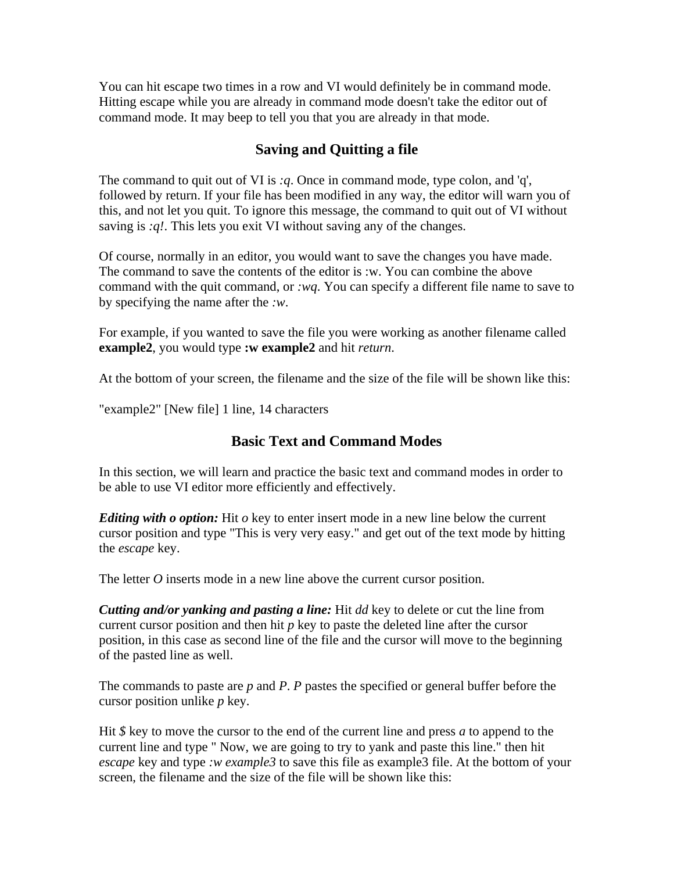You can hit escape two times in a row and VI would definitely be in command mode. Hitting escape while you are already in command mode doesn't take the editor out of command mode. It may beep to tell you that you are already in that mode.

# **Saving and Quitting a file**

The command to quit out of VI is *:q*. Once in command mode, type colon, and 'q', followed by return. If your file has been modified in any way, the editor will warn you of this, and not let you quit. To ignore this message, the command to quit out of VI without saving is *:q!*. This lets you exit VI without saving any of the changes.

Of course, normally in an editor, you would want to save the changes you have made. The command to save the contents of the editor is :w. You can combine the above command with the quit command, or *:wq*. You can specify a different file name to save to by specifying the name after the *:w*.

For example, if you wanted to save the file you were working as another filename called **example2**, you would type **:w example2** and hit *return*.

At the bottom of your screen, the filename and the size of the file will be shown like this:

"example2" [New file] 1 line, 14 characters

# **Basic Text and Command Modes**

In this section, we will learn and practice the basic text and command modes in order to be able to use VI editor more efficiently and effectively.

*Editing with o option:* Hit *o* key to enter insert mode in a new line below the current cursor position and type "This is very very easy." and get out of the text mode by hitting the *escape* key.

The letter *O* inserts mode in a new line above the current cursor position.

*Cutting and/or yanking and pasting a line:* Hit *dd* key to delete or cut the line from current cursor position and then hit *p* key to paste the deleted line after the cursor position, in this case as second line of the file and the cursor will move to the beginning of the pasted line as well.

The commands to paste are *p* and *P*. *P* pastes the specified or general buffer before the cursor position unlike *p* key.

Hit *\$* key to move the cursor to the end of the current line and press *a* to append to the current line and type " Now, we are going to try to yank and paste this line." then hit *escape* key and type *:w example3* to save this file as example3 file. At the bottom of your screen, the filename and the size of the file will be shown like this: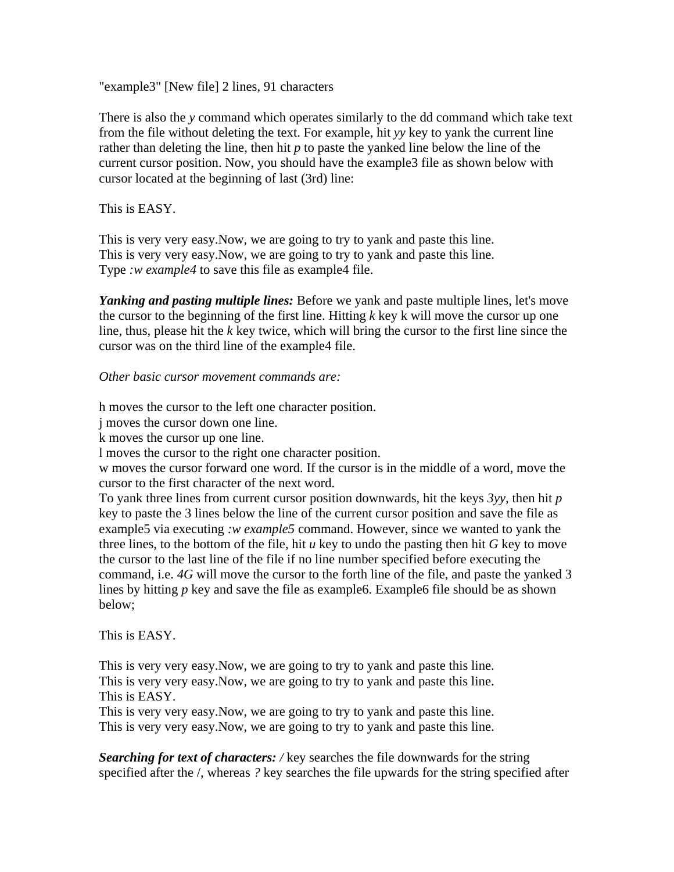"example3" [New file] 2 lines, 91 characters

There is also the *y* command which operates similarly to the dd command which take text from the file without deleting the text. For example, hit *yy* key to yank the current line rather than deleting the line, then hit *p* to paste the yanked line below the line of the current cursor position. Now, you should have the example3 file as shown below with cursor located at the beginning of last (3rd) line:

This is EASY.

This is very very easy.Now, we are going to try to yank and paste this line. This is very very easy.Now, we are going to try to yank and paste this line. Type *:w example4* to save this file as example4 file.

*Yanking and pasting multiple lines:* Before we yank and paste multiple lines, let's move the cursor to the beginning of the first line. Hitting  $k$  key k will move the cursor up one line, thus, please hit the *k* key twice, which will bring the cursor to the first line since the cursor was on the third line of the example4 file.

*Other basic cursor movement commands are:*

h moves the cursor to the left one character position.

j moves the cursor down one line.

k moves the cursor up one line.

l moves the cursor to the right one character position.

w moves the cursor forward one word. If the cursor is in the middle of a word, move the cursor to the first character of the next word.

To yank three lines from current cursor position downwards, hit the keys *3yy*, then hit *p* key to paste the 3 lines below the line of the current cursor position and save the file as example5 via executing *:w example5* command. However, since we wanted to yank the three lines, to the bottom of the file, hit *u* key to undo the pasting then hit *G* key to move the cursor to the last line of the file if no line number specified before executing the command, i.e. *4G* will move the cursor to the forth line of the file, and paste the yanked 3 lines by hitting *p* key and save the file as example6. Example6 file should be as shown below;

This is EASY.

This is very very easy.Now, we are going to try to yank and paste this line. This is very very easy.Now, we are going to try to yank and paste this line. This is EASY.

This is very very easy.Now, we are going to try to yank and paste this line. This is very very easy.Now, we are going to try to yank and paste this line.

*Searching for text of characters: /* key searches the file downwards for the string specified after the /, whereas *?* key searches the file upwards for the string specified after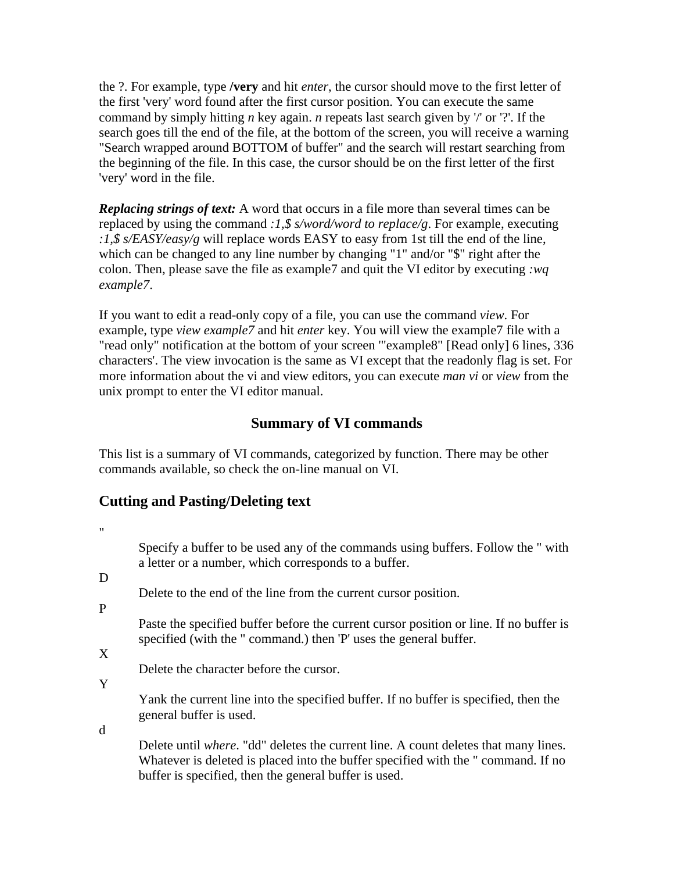the ?. For example, type **/very** and hit *enter*, the cursor should move to the first letter of the first 'very' word found after the first cursor position. You can execute the same command by simply hitting *n* key again. *n* repeats last search given by '/' or '?'. If the search goes till the end of the file, at the bottom of the screen, you will receive a warning "Search wrapped around BOTTOM of buffer" and the search will restart searching from the beginning of the file. In this case, the cursor should be on the first letter of the first 'very' word in the file.

*Replacing strings of text:* A word that occurs in a file more than several times can be replaced by using the command *:1,\$ s/word/word to replace/g*. For example, executing *:1,\$ s/EASY/easy/g* will replace words EASY to easy from 1st till the end of the line, which can be changed to any line number by changing "1" and/or "\$" right after the colon. Then, please save the file as example7 and quit the VI editor by executing *:wq example7*.

If you want to edit a read-only copy of a file, you can use the command *view*. For example, type *view example7* and hit *enter* key. You will view the example7 file with a "read only" notification at the bottom of your screen '"example8" [Read only] 6 lines, 336 characters'. The view invocation is the same as VI except that the readonly flag is set. For more information about the vi and view editors, you can execute *man vi* or *view* from the unix prompt to enter the VI editor manual.

# **Summary of VI commands**

This list is a summary of VI commands, categorized by function. There may be other commands available, so check the on-line manual on VI.

# **Cutting and Pasting/Deleting text**

"

Specify a buffer to be used any of the commands using buffers. Follow the " with a letter or a number, which corresponds to a buffer.

D.

Delete to the end of the line from the current cursor position.

P

Paste the specified buffer before the current cursor position or line. If no buffer is specified (with the " command.) then 'P' uses the general buffer.

X

Delete the character before the cursor.

Y

Yank the current line into the specified buffer. If no buffer is specified, then the general buffer is used.

d

Delete until *where*. "dd" deletes the current line. A count deletes that many lines. Whatever is deleted is placed into the buffer specified with the " command. If no buffer is specified, then the general buffer is used.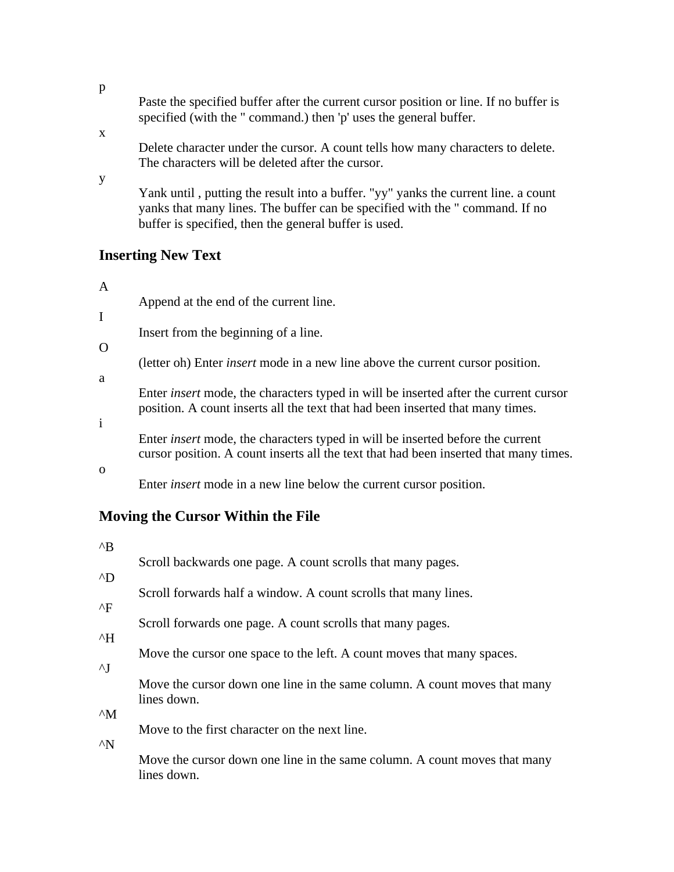| Paste the specified buffer after the current cursor position or line. If no buffer is |  |
|---------------------------------------------------------------------------------------|--|
| specified (with the "command.) then 'p' uses the general buffer.                      |  |

Delete character under the cursor. A count tells how many characters to delete. The characters will be deleted after the cursor.

y

x

Yank until , putting the result into a buffer. "yy" yanks the current line. a count yanks that many lines. The buffer can be specified with the " command. If no buffer is specified, then the general buffer is used.

### **Inserting New Text**

#### A

I

Append at the end of the current line.

Insert from the beginning of a line.

#### $\Omega$

(letter oh) Enter *insert* mode in a new line above the current cursor position.

a

Enter *insert* mode, the characters typed in will be inserted after the current cursor position. A count inserts all the text that had been inserted that many times.

i

Enter *insert* mode, the characters typed in will be inserted before the current cursor position. A count inserts all the text that had been inserted that many times.

o

Enter *insert* mode in a new line below the current cursor position.

# **Moving the Cursor Within the File**

| $^{\wedge}B$  |                                                                                          |
|---------------|------------------------------------------------------------------------------------------|
|               | Scroll backwards one page. A count scrolls that many pages.                              |
| $^{\wedge}D$  |                                                                                          |
|               | Scroll forwards half a window. A count scrolls that many lines.                          |
| $^{\wedge}$ F |                                                                                          |
| $^{\wedge}H$  | Scroll forwards one page. A count scrolls that many pages.                               |
|               | Move the cursor one space to the left. A count moves that many spaces.                   |
| $\wedge$      |                                                                                          |
|               | Move the cursor down one line in the same column. A count moves that many<br>lines down. |
| $^{\wedge}M$  |                                                                                          |
|               | Move to the first character on the next line.                                            |
| $^{\wedge}$ N |                                                                                          |
|               | Move the cursor down one line in the same column. A count moves that many                |
|               | lines down.                                                                              |

p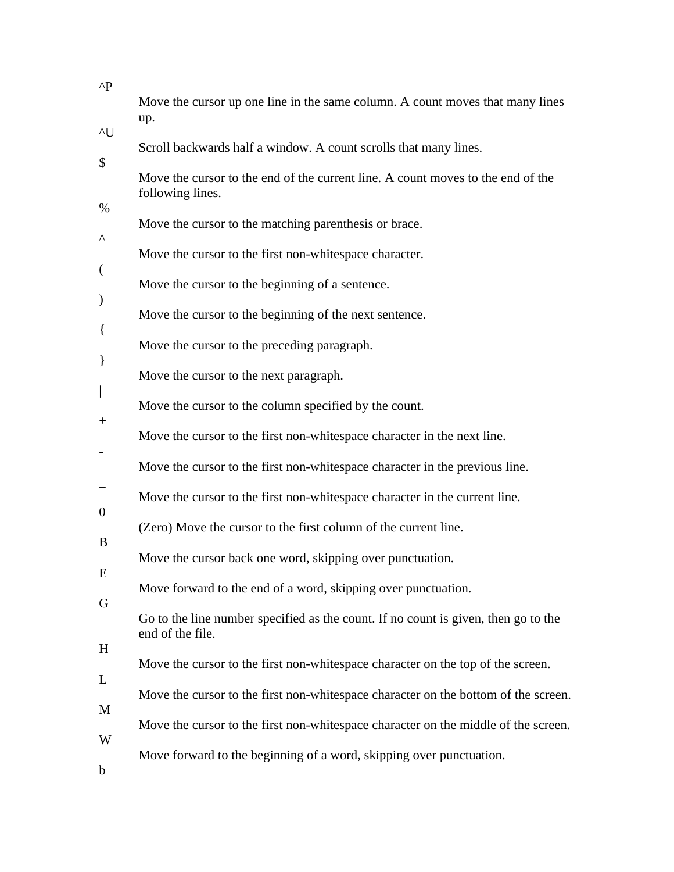| $\wedge$ P               |                                                                                                        |
|--------------------------|--------------------------------------------------------------------------------------------------------|
|                          | Move the cursor up one line in the same column. A count moves that many lines<br>up.                   |
| $\mathcal{N}$            |                                                                                                        |
| \$                       | Scroll backwards half a window. A count scrolls that many lines.                                       |
|                          | Move the cursor to the end of the current line. A count moves to the end of the<br>following lines.    |
| $\%$<br>Λ                | Move the cursor to the matching parenthesis or brace.                                                  |
|                          | Move the cursor to the first non-white space character.                                                |
| $\overline{\phantom{a}}$ | Move the cursor to the beginning of a sentence.                                                        |
| $\mathcal{Y}$            | Move the cursor to the beginning of the next sentence.                                                 |
| $\{$                     | Move the cursor to the preceding paragraph.                                                            |
| $\}$                     | Move the cursor to the next paragraph.                                                                 |
| $^{+}$                   | Move the cursor to the column specified by the count.                                                  |
|                          | Move the cursor to the first non-white space character in the next line.                               |
|                          | Move the cursor to the first non-white space character in the previous line.                           |
| $\overline{0}$           | Move the cursor to the first non-white space character in the current line.                            |
| B                        | (Zero) Move the cursor to the first column of the current line.                                        |
| E                        | Move the cursor back one word, skipping over punctuation.                                              |
| G                        | Move forward to the end of a word, skipping over punctuation.                                          |
|                          | Go to the line number specified as the count. If no count is given, then go to the<br>end of the file. |
| H                        | Move the cursor to the first non-whitespace character on the top of the screen.                        |
| L                        | Move the cursor to the first non-whitespace character on the bottom of the screen.                     |
| M                        | Move the cursor to the first non-whitespace character on the middle of the screen.                     |
| W                        | Move forward to the beginning of a word, skipping over punctuation.                                    |
| $\mathbf b$              |                                                                                                        |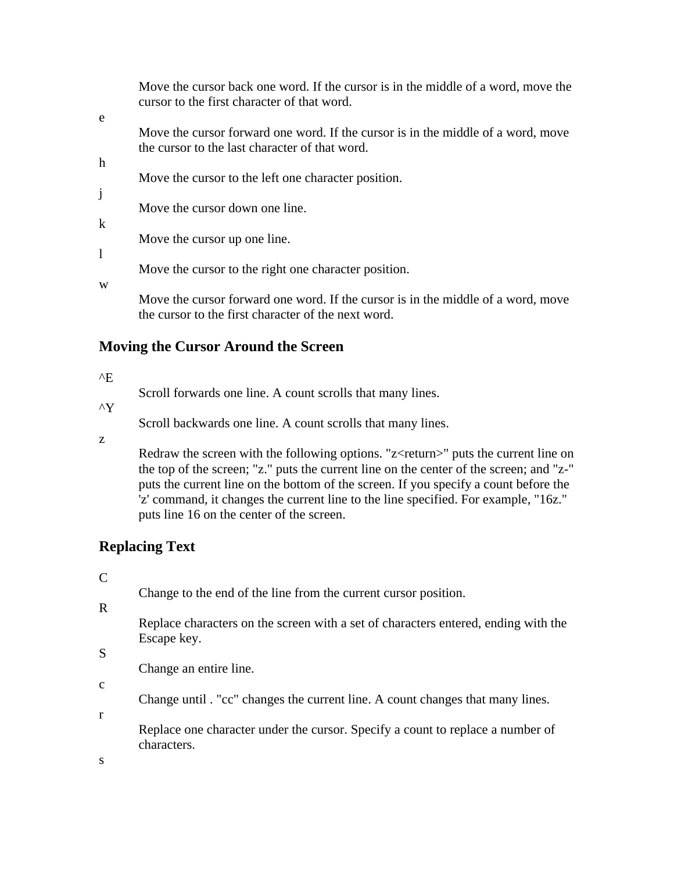|   | Move the cursor back one word. If the cursor is in the middle of a word, move the<br>cursor to the first character of that word.        |
|---|-----------------------------------------------------------------------------------------------------------------------------------------|
| e |                                                                                                                                         |
|   | Move the cursor forward one word. If the cursor is in the middle of a word, move<br>the cursor to the last character of that word.      |
| h |                                                                                                                                         |
|   | Move the cursor to the left one character position.                                                                                     |
|   |                                                                                                                                         |
|   | Move the cursor down one line.                                                                                                          |
| k | Move the cursor up one line.                                                                                                            |
|   | Move the cursor to the right one character position.                                                                                    |
| W | Move the cursor forward one word. If the cursor is in the middle of a word, move<br>the cursor to the first character of the next word. |
|   |                                                                                                                                         |

### **Moving the Cursor Around the Screen**

^E

Scroll forwards one line. A count scrolls that many lines.

^Y

Scroll backwards one line. A count scrolls that many lines.

z

Redraw the screen with the following options. "z<return>" puts the current line on the top of the screen; "z." puts the current line on the center of the screen; and "z-" puts the current line on the bottom of the screen. If you specify a count before the 'z' command, it changes the current line to the line specified. For example, "16z." puts line 16 on the center of the screen.

# **Replacing Text**

 $\overline{C}$ 

Change to the end of the line from the current cursor position.

R

Replace characters on the screen with a set of characters entered, ending with the Escape key.

S

c

Change an entire line.

Change until . "cc" changes the current line. A count changes that many lines.

r

Replace one character under the cursor. Specify a count to replace a number of characters.

s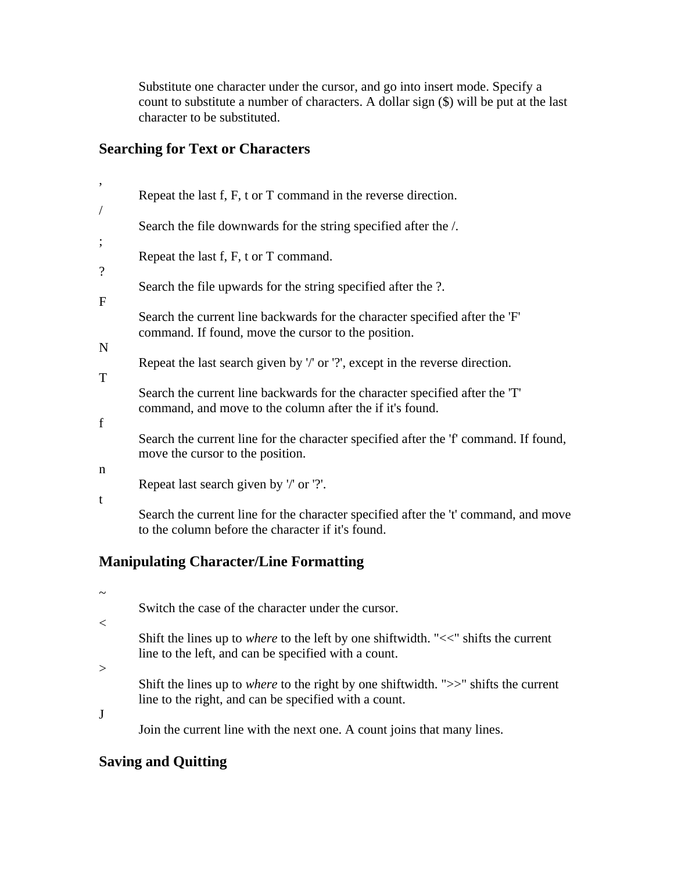Substitute one character under the cursor, and go into insert mode. Specify a count to substitute a number of characters. A dollar sign (\$) will be put at the last character to be substituted.

# **Searching for Text or Characters**

| $^\bullet$       | Repeat the last f, F, t or T command in the reverse direction.                                                                           |
|------------------|------------------------------------------------------------------------------------------------------------------------------------------|
| $\overline{1}$   | Search the file downwards for the string specified after the /.                                                                          |
| $\vdots$         | Repeat the last f, F, t or T command.                                                                                                    |
| $\boldsymbol{v}$ | Search the file upwards for the string specified after the ?.                                                                            |
| F                | Search the current line backwards for the character specified after the 'F'                                                              |
| ${\bf N}$        | command. If found, move the cursor to the position.                                                                                      |
| T                | Repeat the last search given by '/' or '?', except in the reverse direction.                                                             |
|                  | Search the current line backwards for the character specified after the 'T'<br>command, and move to the column after the if it's found.  |
| f                | Search the current line for the character specified after the 'f' command. If found,<br>move the cursor to the position.                 |
| n                |                                                                                                                                          |
|                  | Repeat last search given by '/' or '?'.                                                                                                  |
| t                | Search the current line for the character specified after the 't' command, and move<br>to the column before the character if it's found. |

# **Manipulating Character/Line Formatting**

 $\sim$ 

Switch the case of the character under the cursor.

 $\lt$ 

Shift the lines up to *where* to the left by one shiftwidth. "<<" shifts the current line to the left, and can be specified with a count.

 $\geq$ 

Shift the lines up to *where* to the right by one shiftwidth. ">>" shifts the current line to the right, and can be specified with a count.

J

Join the current line with the next one. A count joins that many lines.

# **Saving and Quitting**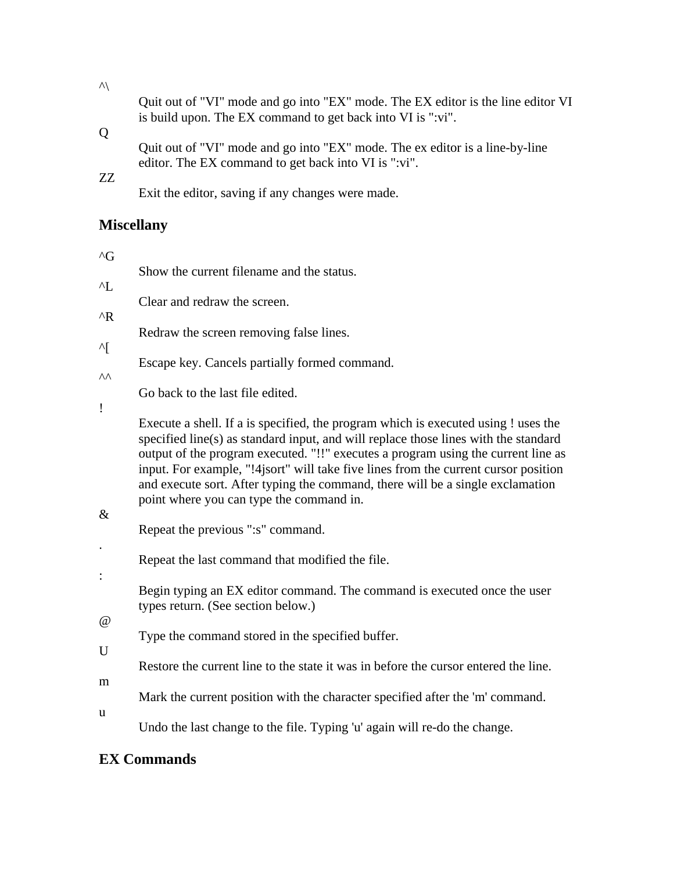Quit out of "VI" mode and go into "EX" mode. The EX editor is the line editor VI is build upon. The EX command to get back into VI is ":vi".

### Q

Quit out of "VI" mode and go into "EX" mode. The ex editor is a line-by-line editor. The EX command to get back into VI is ":vi".

# ZZ

 $\mathcal{A}$ 

Exit the editor, saving if any changes were made.

Show the current filename and the status.

### **Miscellany**

| ^L            |                                                                                                                                                                                                                                                                                                                                                                                                                                                                                     |
|---------------|-------------------------------------------------------------------------------------------------------------------------------------------------------------------------------------------------------------------------------------------------------------------------------------------------------------------------------------------------------------------------------------------------------------------------------------------------------------------------------------|
|               | Clear and redraw the screen.                                                                                                                                                                                                                                                                                                                                                                                                                                                        |
| $^{\wedge}R$  | Redraw the screen removing false lines.                                                                                                                                                                                                                                                                                                                                                                                                                                             |
| ^[<br>۸۸      | Escape key. Cancels partially formed command.                                                                                                                                                                                                                                                                                                                                                                                                                                       |
|               | Go back to the last file edited.                                                                                                                                                                                                                                                                                                                                                                                                                                                    |
| Ţ             | Execute a shell. If a is specified, the program which is executed using ! uses the<br>specified line(s) as standard input, and will replace those lines with the standard<br>output of the program executed. "!!" executes a program using the current line as<br>input. For example, "!4jsort" will take five lines from the current cursor position<br>and execute sort. After typing the command, there will be a single exclamation<br>point where you can type the command in. |
| $\&$          | Repeat the previous ":s" command.                                                                                                                                                                                                                                                                                                                                                                                                                                                   |
|               | Repeat the last command that modified the file.                                                                                                                                                                                                                                                                                                                                                                                                                                     |
| $\vdots$<br>@ | Begin typing an EX editor command. The command is executed once the user<br>types return. (See section below.)                                                                                                                                                                                                                                                                                                                                                                      |
| U             | Type the command stored in the specified buffer.                                                                                                                                                                                                                                                                                                                                                                                                                                    |
|               | Restore the current line to the state it was in before the cursor entered the line.                                                                                                                                                                                                                                                                                                                                                                                                 |
| m             | Mark the current position with the character specified after the 'm' command.                                                                                                                                                                                                                                                                                                                                                                                                       |
| u             | Undo the last change to the file. Typing 'u' again will re-do the change.                                                                                                                                                                                                                                                                                                                                                                                                           |

# **EX Commands**